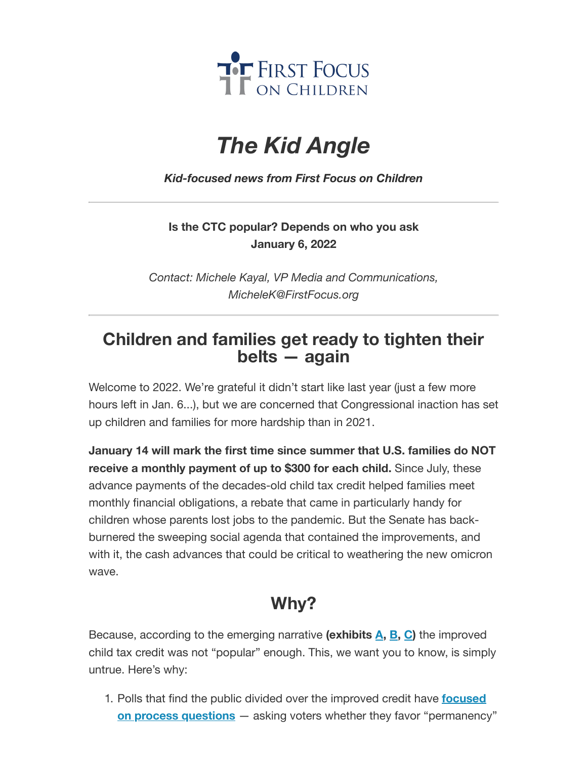

## *The Kid Angle*

*Kid-focused news from First Focus on Children*

## **Is the CTC popular? Depends on who you ask January 6, 2022**

*Contact: Michele Kayal, VP Media and Communications, MicheleK@FirstFocus.org*

## **Children and families get ready to tighten their belts — again**

Welcome to 2022. We're grateful it didn't start like last year (just a few more hours left in Jan. 6...), but we are concerned that Congressional inaction has set up children and families for more hardship than in 2021.

**January 14 will mark the first time since summer that U.S. families do NOT receive a monthly payment of up to \$300 for each child.** Since July, these advance payments of the decades-old child tax credit helped families meet monthly financial obligations, a rebate that came in particularly handy for children whose parents lost jobs to the pandemic. But the Senate has backburnered the sweeping social agenda that contained the improvements, and with it, the cash advances that could be critical to weathering the new omicron wave.

## **Why?**

Because, according to the emerging narrative **(exhibits [A,](https://action.campaignforchildren.org/r?u=PiInCVHjZg_Lhb0RQ-dhd2pKCmU6OURoFRTuJDLKwsd9eL3haHq4n0ScPA4_6DSsxeKZVhE1cPyUYJMofNqzLyJfmN_gGBIOARwmjZmqh_I&e=6d50ef9bac605c372bd31a2e7c9cacfd&utm_source=ffcc&utm_medium=email&utm_campaign=_83_01_06_2022_ctc_is_popular&n=2&test_email=1) [B,](https://action.campaignforchildren.org/r?u=GUadKUZbNtXpoQtrN7XiLlDAp0T1nvsEvUIUmB084zGLaI03CzaKui2vZ8Oa4lxSPLqPvDRqEbc2MIMwdtNtU53tZwJ4joCnrkI-yEEwC2KiiPD9Tr9hsirZ2fsPYEp62DuiWxHKKloUXHnmXtyxcQ&e=6d50ef9bac605c372bd31a2e7c9cacfd&utm_source=ffcc&utm_medium=email&utm_campaign=_83_01_06_2022_ctc_is_popular&n=3&test_email=1) [C](https://action.campaignforchildren.org/r?u=Y1JQzDDPf_G40AL8Qe486zyP5axXVfIKqtSomAJC8QzWktKd1Kh7RDjYevpSfnvrf_vNBGEYHn9XbhMlFYRHskH_Lx4QfiR0BesWG5s0v6td_I_mS2Zan65elU_RcJTXK8tI29DN1fyXpwKDN8Q7Lw&e=6d50ef9bac605c372bd31a2e7c9cacfd&utm_source=ffcc&utm_medium=email&utm_campaign=_83_01_06_2022_ctc_is_popular&n=4&test_email=1))** the improved child tax credit was not "popular" enough. This, we want you to know, is simply untrue. Here's why:

1. Polls that find the public divided over the improved credit have **focused on process questions** — asking [voters whether](https://action.campaignforchildren.org/r?u=ByhkdA7RrYhHtdiUMWUYvJdGKdQSUyAtxOt3bY4f2wcQBUVIHFLtQq7VwFa7-5v9lNsTqUudMYVBtJgX4vEtT7oJTh3pN_T74_6l2e6Rc60oBEwpKkjH-8K9NUhc6D59GTirwwoMsbrXUcNDipNhEQb10AcPWiVls16S5ke6GCKdjaq1oH9Ts1nWbf4Y13VCE7KwS4KhYnxhvcpFzYznzVhVb1cUDDEHEDBj1MdRNQ2SLrBlHOYeSysiAhhfJxI7&e=6d50ef9bac605c372bd31a2e7c9cacfd&utm_source=ffcc&utm_medium=email&utm_campaign=_83_01_06_2022_ctc_is_popular&n=5&test_email=1) they favor "permanency"